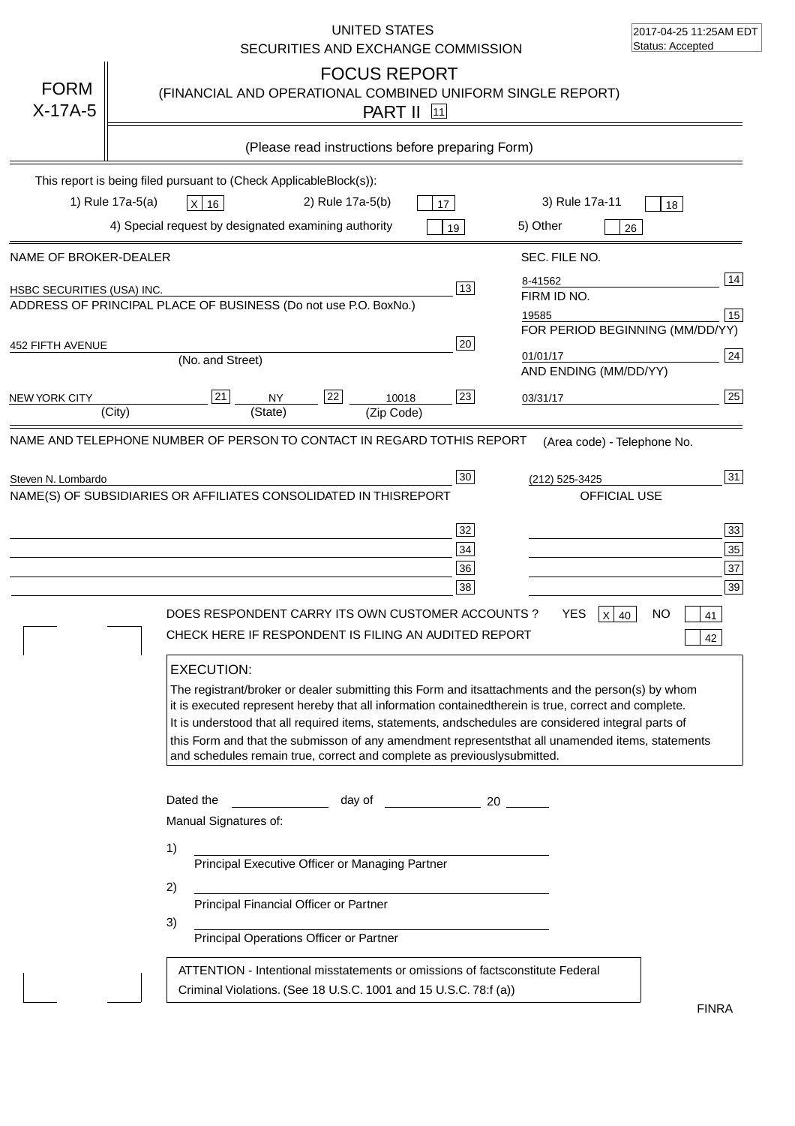|                            | UNITED STATES<br>SECURITIES AND EXCHANGE COMMISSION                                                                                                                                                                                                                                                                                                                                                                                                                                                                                                                                                                                                                      | 2017-04-25 11:25AM EDT<br>Status: Accepted                                                                                                                                                                    |
|----------------------------|--------------------------------------------------------------------------------------------------------------------------------------------------------------------------------------------------------------------------------------------------------------------------------------------------------------------------------------------------------------------------------------------------------------------------------------------------------------------------------------------------------------------------------------------------------------------------------------------------------------------------------------------------------------------------|---------------------------------------------------------------------------------------------------------------------------------------------------------------------------------------------------------------|
| <b>FORM</b><br>$X-17A-5$   | <b>FOCUS REPORT</b><br>(FINANCIAL AND OPERATIONAL COMBINED UNIFORM SINGLE REPORT)<br><b>PART II</b> 11                                                                                                                                                                                                                                                                                                                                                                                                                                                                                                                                                                   |                                                                                                                                                                                                               |
|                            | (Please read instructions before preparing Form)                                                                                                                                                                                                                                                                                                                                                                                                                                                                                                                                                                                                                         |                                                                                                                                                                                                               |
|                            | This report is being filed pursuant to (Check Applicable<br>$Block(s)$ :<br>1) Rule 17a-5(a)<br>3) Rule 17a-11<br>2) Rule 17a-5(b)<br>X 16<br>17<br>4) Special request by designated examining authority<br>5) Other<br>19                                                                                                                                                                                                                                                                                                                                                                                                                                               | 18<br>26                                                                                                                                                                                                      |
| NAME OF BROKER-DEALER      | SEC. FILE NO.                                                                                                                                                                                                                                                                                                                                                                                                                                                                                                                                                                                                                                                            |                                                                                                                                                                                                               |
| HSBC SECURITIES (USA) INC. | 8-41562<br>$\overline{13}$<br>FIRM ID NO.<br>ADDRESS OF PRINCIPAL PLACE OF BUSINESS (Do not use P.O. Box<br>No.)<br>19585                                                                                                                                                                                                                                                                                                                                                                                                                                                                                                                                                | 14<br>15                                                                                                                                                                                                      |
| 452 FIFTH AVENUE           | 20<br>01/01/17<br>(No. and Street)<br>AND ENDING (MM/DD/YY)                                                                                                                                                                                                                                                                                                                                                                                                                                                                                                                                                                                                              | FOR PERIOD BEGINNING (MM/DD/YY)<br>24                                                                                                                                                                         |
| <b>NEW YORK CITY</b>       | 22<br>23<br>21<br><b>NY</b><br>10018<br>03/31/17<br>(State)<br>(City)<br>(Zip Code)                                                                                                                                                                                                                                                                                                                                                                                                                                                                                                                                                                                      | 25                                                                                                                                                                                                            |
| Steven N. Lombardo         | $30\,$<br>(212) 525-3425<br>NAME(S) OF SUBSIDIARIES OR AFFILIATES CONSOLIDATED IN THIS<br><b>REPORT</b><br>32<br>34<br>36<br>38<br>DOES RESPONDENT CARRY ITS OWN CUSTOMER ACCOUNTS ?<br><b>YES</b><br>CHECK HERE IF RESPONDENT IS FILING AN AUDITED REPORT<br><b>EXECUTION:</b><br>The registrant/broker or dealer submitting this Form and its<br>it is executed represent hereby that all information contained<br>It is understood that all required items, statements, and schedules are considered integral parts of<br>this Form and that the submisson of any amendment represents<br>and schedules remain true, correct and complete as previously<br>submitted. | 31<br>OFFICIAL USE<br>33<br>35<br>37<br>39<br>NO<br>$\mathsf{X}$<br>40<br>41<br>42<br>attachments and the person(s) by whom<br>therein is true, correct and complete.<br>that all unamended items, statements |
|                            | Dated the<br>day of<br>20<br>Manual Signatures of:<br>1)<br>Principal Executive Officer or Managing Partner<br>2)<br>Principal Financial Officer or Partner<br>3)<br>Principal Operations Officer or Partner<br>ATTENTION - Intentional misstatements or omissions of facts<br>constitute Federal<br>Criminal Violations. (See 18 U.S.C. 1001 and 15 U.S.C. 78:f (a)                                                                                                                                                                                                                                                                                                     |                                                                                                                                                                                                               |
|                            |                                                                                                                                                                                                                                                                                                                                                                                                                                                                                                                                                                                                                                                                          | <b>FINRA</b>                                                                                                                                                                                                  |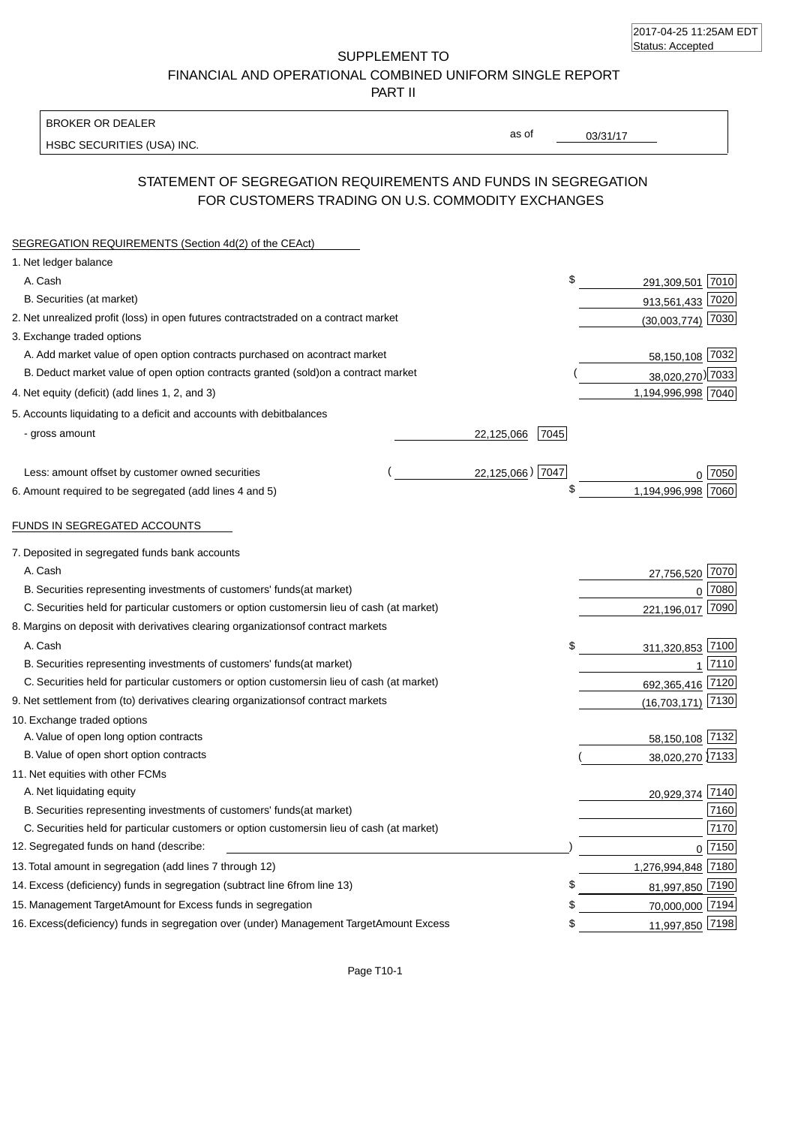| 2017-04-25 11:25AM EDT |  |
|------------------------|--|
| Status: Accepted       |  |

SUPPLEMENT TO FINANCIAL AND OPERATIONAL COMBINED UNIFORM SINGLE REPORT

PART II

#### BROKER OR DEALER

HSBC SECURITIES (USA) INC.

03/31/17

as of

## STATEMENT OF SEGREGATION REQUIREMENTS AND FUNDS IN SEGREGATION FOR CUSTOMERS TRADING ON U.S. COMMODITY EXCHANGES

| SEGREGATION REQUIREMENTS (Section 4d(2) of the CEAct)                                          |                             |
|------------------------------------------------------------------------------------------------|-----------------------------|
| 1. Net ledger balance                                                                          |                             |
| A. Cash                                                                                        | \$<br>7010<br>291,309,501   |
| B. Securities (at market)                                                                      | 913,561,433 7020            |
| 2. Net unrealized profit (loss) in open futures contracts<br>traded on a contract market       | $(30,003,774)$ 7030         |
| 3. Exchange traded options                                                                     |                             |
| A. Add market value of open option contracts purchased on a<br>contract market                 | 58,150,108 7032             |
| B. Deduct market value of open option contracts granted (sold)<br>on a contract market         | 38,020,270) 7033            |
| 4. Net equity (deficit) (add lines 1, 2, and 3)                                                | 1,194,996,998 7040          |
| 5. Accounts liquidating to a deficit and accounts with debit<br>balances                       |                             |
| - gross amount                                                                                 | 7045<br>22,125,066          |
| Less: amount offset by customer owned securities                                               | 22,125,066) 7047<br>7050    |
| 6. Amount required to be segregated (add lines 4 and 5)                                        | \$<br>1,194,996,998<br>7060 |
| FUNDS IN SEGREGATED ACCOUNTS                                                                   |                             |
| 7. Deposited in segregated funds bank accounts                                                 |                             |
| A. Cash                                                                                        | 27,756,520 7070             |
| B. Securities representing investments of customers' funds<br>(at market)                      | 0 7080                      |
| C. Securities held for particular customers or option customers<br>in lieu of cash (at market) | 221,196,017 7090            |
| 8. Margins on deposit with derivatives clearing organizations<br>of contract markets           |                             |
| A. Cash                                                                                        | \$<br>311,320,853 7100      |
| B. Securities representing investments of customers' funds<br>(at market)                      | 7110<br>1                   |
| C. Securities held for particular customers or option customers<br>in lieu of cash (at market) | 692,365,416 7120            |
| 9. Net settlement from (to) derivatives clearing organizations<br>of contract markets          | 7130<br>(16,703,171)        |
| 10. Exchange traded options                                                                    |                             |
| A. Value of open long option contracts                                                         | 58,150,108 7132             |
| B. Value of open short option contracts                                                        | 38,020,270 7133             |
| 11. Net equities with other FCMs                                                               |                             |
| A. Net liquidating equity                                                                      | 7140<br>20,929,374          |
| B. Securities representing investments of customers' funds<br>(at market)                      | 7160                        |
| C. Securities held for particular customers or option customers<br>in lieu of cash (at market) | 7170                        |
| 12. Segregated funds on hand (describe:                                                        | $0$ 7150                    |
| 13. Total amount in segregation (add lines 7 through 12)                                       | 1,276,994,848 7180          |
| 14. Excess (deficiency) funds in segregation (subtract line 6<br>from line 13)                 | \$<br>81,997,850 7190       |
| 15. Management Target Amount for Excess funds in segregation                                   | 70,000,000 7194<br>\$       |
| 16. Excess (deficiency) funds in segregation over (under) Management Target Amount Excess      | 11,997,850 7198<br>\$       |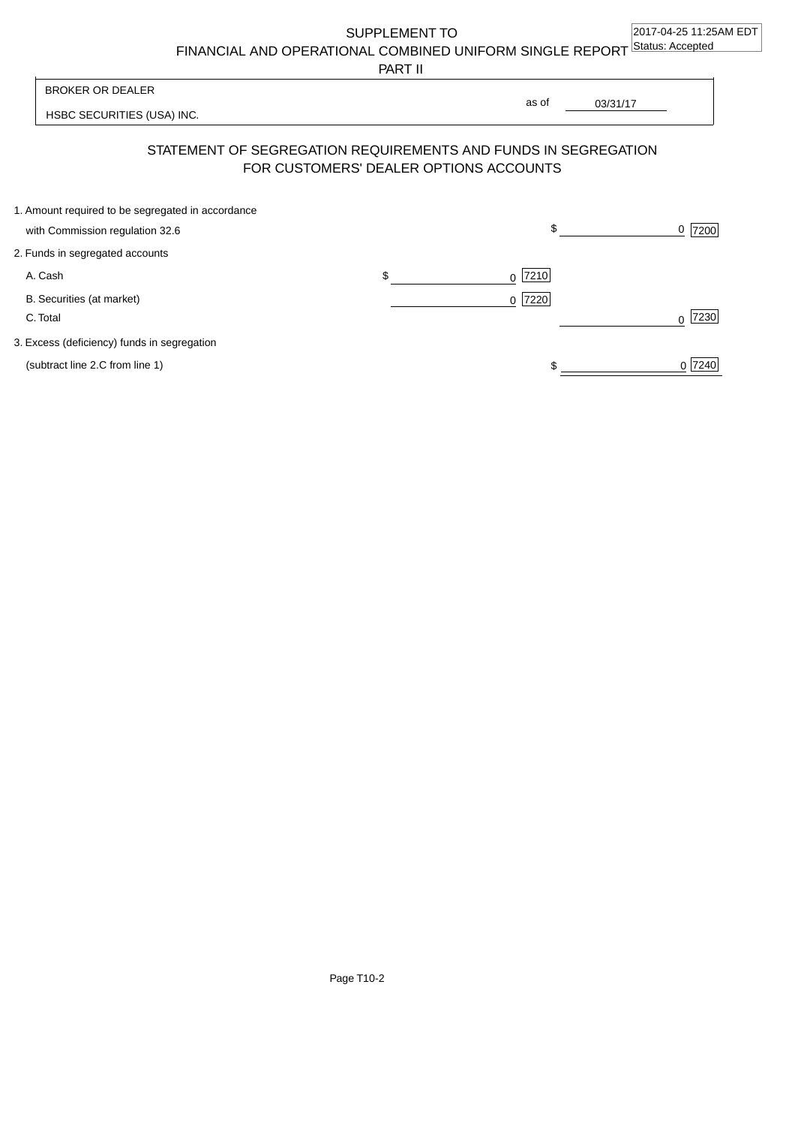SUPPLEMENT TO

FINANCIAL AND OPERATIONAL COMBINED UNIFORM SINGLE REPORT Status: Accepted

PART II

HSBC SECURITIES (USA) INC. 03/31/17 BROKER OR DEALER as of

# STATEMENT OF SEGREGATION REQUIREMENTS AND FUNDS IN SEGREGATION FOR CUSTOMERS' DEALER OPTIONS ACCOUNTS

| 1. Amount required to be segregated in accordance |                |           |
|---------------------------------------------------|----------------|-----------|
| with Commission regulation 32.6                   | \$             | 7200<br>0 |
| 2. Funds in segregated accounts                   |                |           |
| A. Cash                                           | \$<br>$0$ 7210 |           |
| B. Securities (at market)                         | $0$  7220      |           |
| C. Total                                          |                | 7230      |
| 3. Excess (deficiency) funds in segregation       |                |           |
| (subtract line 2.C from line 1)                   |                | 0 7240    |
|                                                   |                |           |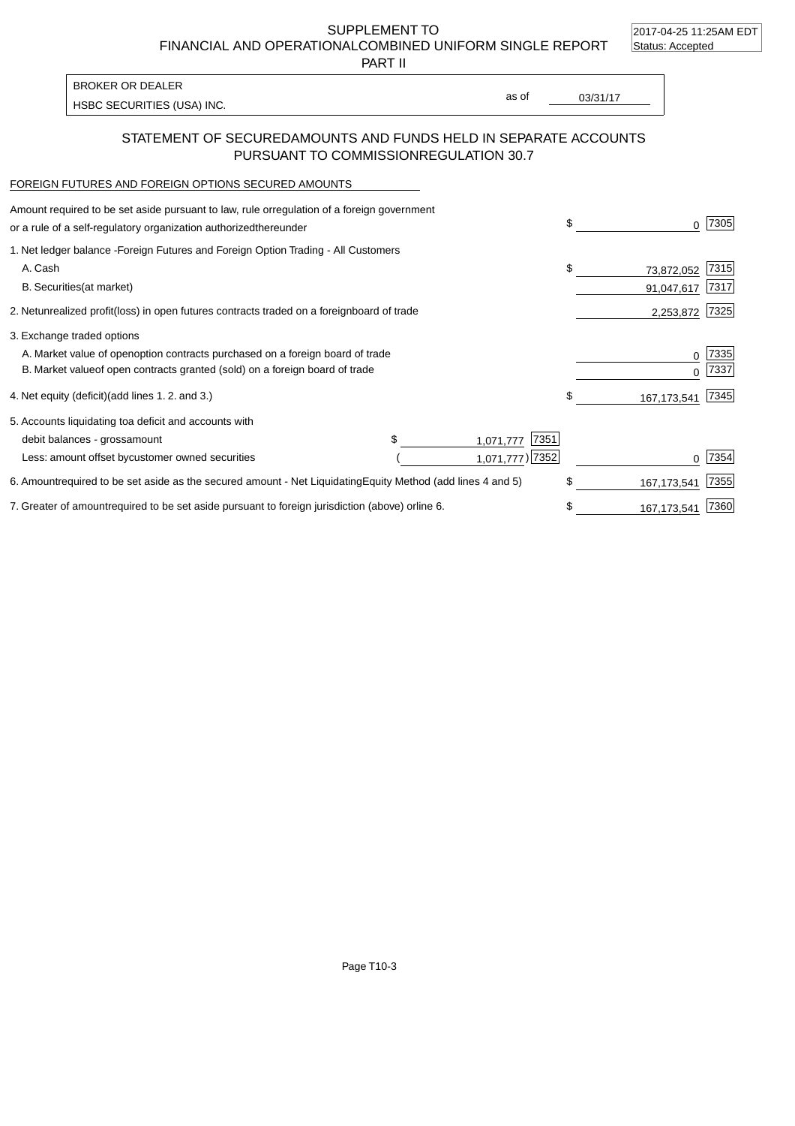2017-04-25 11:25AM EDT

SUPPLEMENT TO FINANCIAL AND OPERATIONAL COMBINED UNIFORM SINGLE REPORT Status: Accepted

PART II

| <b>BROKER OR DEALER</b>    |       |          |
|----------------------------|-------|----------|
| HSBC SECURITIES (USA) INC. | as of | 03/31/17 |
|                            |       |          |

### STATEMENT OF SECURED AMOUNTS AND FUNDS HELD IN SEPARATE ACCOUNTS PURSUANT TO COMMISSION REGULATION 30.7

#### FOREIGN FUTURES AND FOREIGN OPTIONS SECURED AMOUNTS

| Amount required to be set aside pursuant to law, rule or<br>regulation of a foreign government<br>or a rule of a self-regulatory organization authorized<br>thereunder                       |                                        | \$                             | 7305         |
|----------------------------------------------------------------------------------------------------------------------------------------------------------------------------------------------|----------------------------------------|--------------------------------|--------------|
| 1. Net ledger balance - Foreign Futures and Foreign Option Trading - All Customers<br>A. Cash<br><b>B.</b> Securities<br>(at market)                                                         |                                        | \$<br>73,872,052<br>91,047,617 | 7315<br>7317 |
| unrealized profit (loss) in open futures contracts traded on a foreign board of trade<br>2. Net                                                                                              |                                        | 2,253,872                      | 7325         |
| 3. Exchange traded options<br>A. Market value of open option contracts purchased on a foreign board of trade<br>B. Market value of open contracts granted (sold) on a foreign board of trade |                                        | $\Omega$                       | 7335<br>7337 |
| 4. Net equity (deficit)<br>(add lines 1.2. and 3.)                                                                                                                                           |                                        | \$<br>167,173,541              | 7345         |
| 5. Accounts liquidating to<br>a deficit and accounts with<br>debit balances - gross<br>amount<br>Less: amount offset by<br>customer owned securities                                         | 7351<br>1,071,777<br>1,071,777) [7352] |                                | 7354         |
| required to be set aside as the secured amount - Net Liquidating<br>6. Amount                                                                                                                | Equity Method (add lines 4 and 5)      | \$<br>167, 173, 541            | 7355         |
| 7. Greater of amount required to be set aside pursuant to foreign jurisdiction (above) or line 6.                                                                                            |                                        | 167, 173, 541                  | 7360         |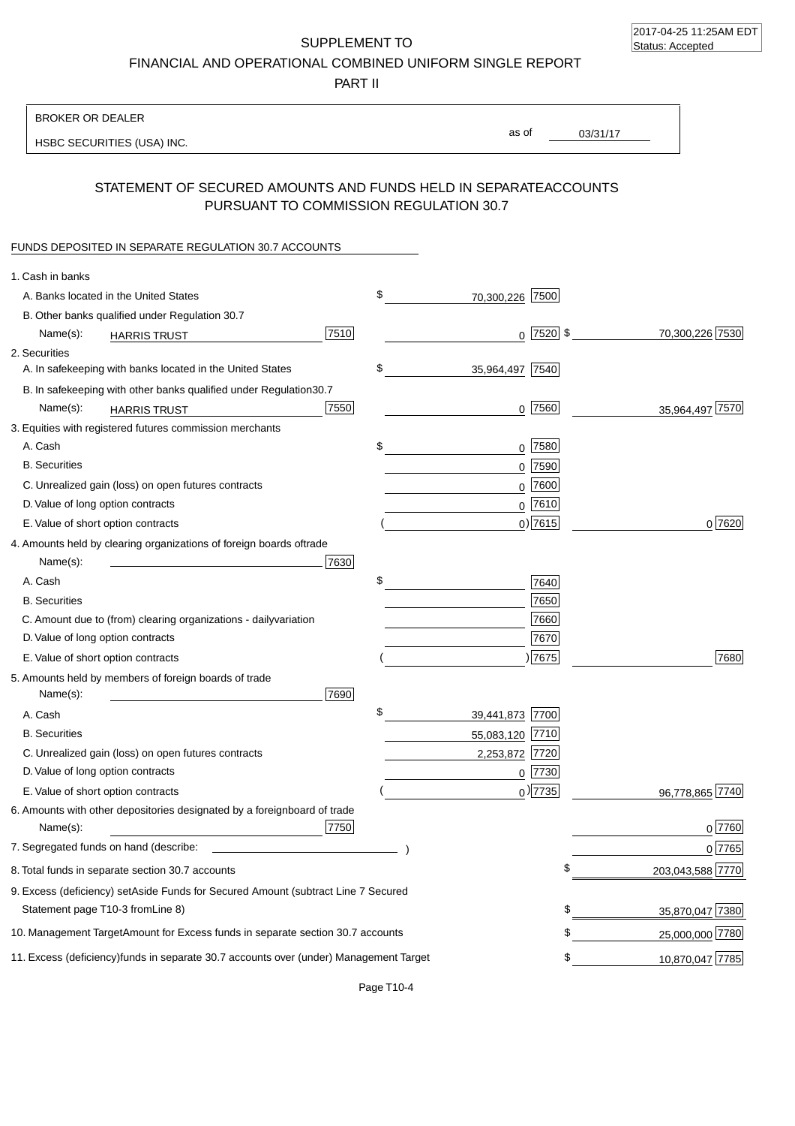2017-04-25 11:25AM EDT Status: Accepted

SUPPLEMENT TO FINANCIAL AND OPERATIONAL COMBINED UNIFORM SINGLE REPORT

PART II

| <b>BROKER OR DEALER</b>                                                                           |                       |                 |                  |
|---------------------------------------------------------------------------------------------------|-----------------------|-----------------|------------------|
| HSBC SECURITIES (USA) INC.                                                                        | as of                 | 03/31/17        |                  |
|                                                                                                   |                       |                 |                  |
| STATEMENT OF SECURED AMOUNTS AND FUNDS HELD IN SEPARATE<br>PURSUANT TO COMMISSION REGULATION 30.7 |                       | <b>ACCOUNTS</b> |                  |
| FUNDS DEPOSITED IN SEPARATE REGULATION 30.7 ACCOUNTS                                              |                       |                 |                  |
| 1. Cash in banks                                                                                  |                       |                 |                  |
| A. Banks located in the United States                                                             | \$<br>70,300,226 7500 |                 |                  |
| B. Other banks qualified under Regulation 30.7                                                    |                       |                 |                  |
| 7510<br>Name(s):<br><b>HARRIS TRUST</b>                                                           | $0$ 7520 \$           |                 | 70,300,226 7530  |
| 2. Securities                                                                                     |                       |                 |                  |
| A. In safekeeping with banks located in the United States                                         | \$<br>35,964,497 7540 |                 |                  |
| 30.7<br>B. In safekeeping with other banks qualified under Regulation                             |                       |                 |                  |
| 7550<br>Name(s):<br><b>HARRIS TRUST</b>                                                           | 7560<br>0             |                 | 35,964,497 7570  |
| 3. Equities with registered futures commission merchants                                          |                       |                 |                  |
| A. Cash                                                                                           | \$<br>$0$ 7580        |                 |                  |
| <b>B.</b> Securities                                                                              | $0$ 7590              |                 |                  |
| C. Unrealized gain (loss) on open futures contracts                                               | $0$ 7600              |                 |                  |
| D. Value of long option contracts                                                                 | $0$ 7610              |                 |                  |
| E. Value of short option contracts                                                                | $0)$ 7615             |                 | 0 7620           |
| 4. Amounts held by clearing organizations of foreign boards of<br>trade                           |                       |                 |                  |
| Name(s):<br>7630                                                                                  |                       |                 |                  |
| A. Cash                                                                                           | \$<br>7640            |                 |                  |
| <b>B.</b> Securities                                                                              | 7650                  |                 |                  |
| C. Amount due to (from) clearing organizations - daily<br>variation                               | 7660                  |                 |                  |
| D. Value of long option contracts                                                                 | 7670                  |                 |                  |
| E. Value of short option contracts                                                                | 7675                  |                 | 7680             |
| 5. Amounts held by members of foreign boards of trade<br>Name(s):<br>7690                         |                       |                 |                  |
| A. Cash                                                                                           | \$<br>39,441,873 7700 |                 |                  |
| <b>B.</b> Securities                                                                              | 55,083,120 7710       |                 |                  |
| C. Unrealized gain (loss) on open futures contracts                                               | 2,253,872 7720        |                 |                  |
| D. Value of long option contracts                                                                 | $0$ 7730              |                 |                  |
| E. Value of short option contracts                                                                | $_0$ ) 7735           |                 | 96,778,865 7740  |
| 6. Amounts with other depositories designated by a foreign<br>board of trade<br>7750<br>Name(s):  |                       |                 | 0 7760           |
| 7. Segregated funds on hand (describe:                                                            |                       |                 | $0$ 7765         |
| 8. Total funds in separate section 30.7 accounts                                                  |                       |                 | 203,043,588 7770 |
| 9. Excess (deficiency) set Aside Funds for Secured Amount (subtract Line 7 Secured                |                       |                 |                  |
| Statement page T10-3 from Line 8)                                                                 |                       | \$              | 35,870,047 7380  |
| 10. Management Target Amount for Excess funds in separate section 30.7 accounts                   |                       | \$              | 25,000,000 7780  |
| 11. Excess (deficiency) funds in separate 30.7 accounts over (under) Management Target            |                       | \$              | 10,870,047 7785  |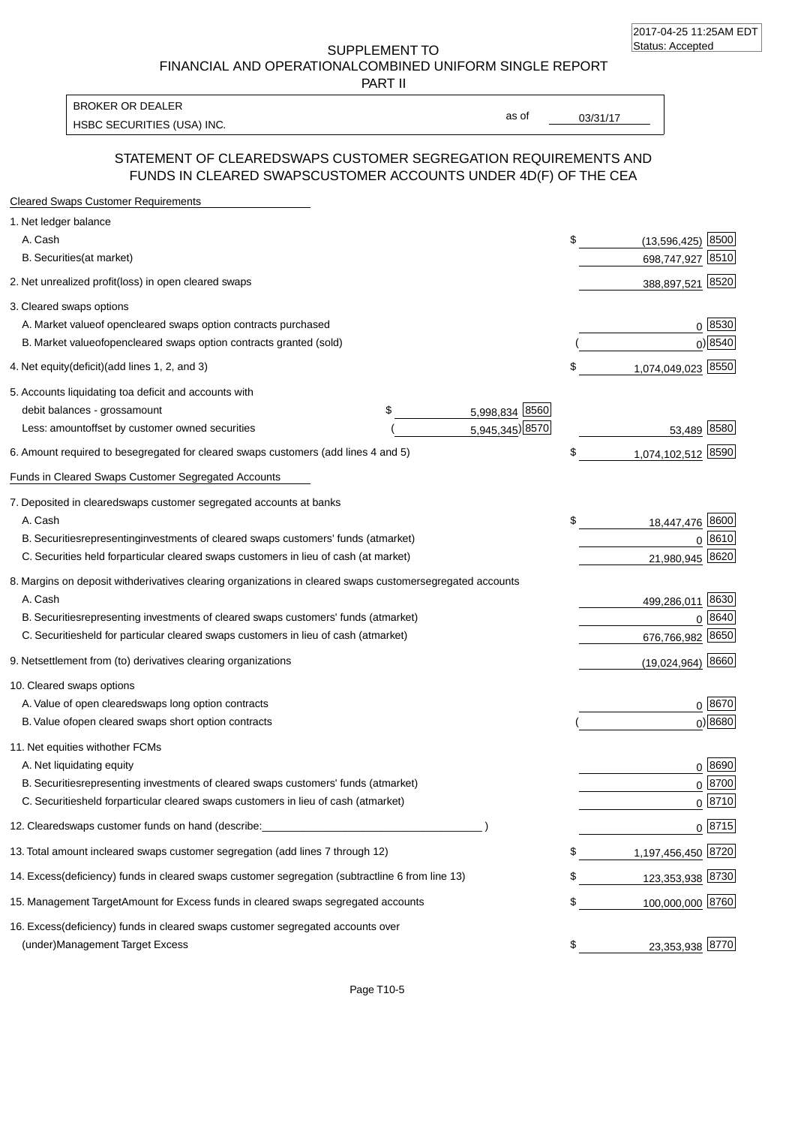SUPPLEMENT TO FINANCIAL AND OPERATIONAL COMBINED UNIFORM SINGLE REPORT

PART II

HSBC SECURITIES (USA) INC. The second of the second of the second of the second of the second of the second of the second of the second of the second of the second of the second of the second of the second of the second of BROKER OR DEALER

as of

### STATEMENT OF CLEARED SWAPS CUSTOMER SEGREGATION REQUIREMENTS AND FUNDS IN CLEARED SWAPS CUSTOMER ACCOUNTS UNDER 4D(F) OF THE CEA

| <b>Cleared Swaps Customer Requirements</b>                                                                  |                              |
|-------------------------------------------------------------------------------------------------------------|------------------------------|
| 1. Net ledger balance                                                                                       |                              |
| A. Cash                                                                                                     | \$<br>8500<br>(13, 596, 425) |
| B. Securities (at market)                                                                                   | 8510<br>698,747,927          |
| 2. Net unrealized profit (loss) in open cleared swaps                                                       | 388,897,521 8520             |
| 3. Cleared swaps options                                                                                    |                              |
| A. Market value of open cleared swaps option contracts purchased                                            | 0   8530                     |
| B. Market value of open cleared swaps option contracts granted (sold)                                       | $0)$ 8540                    |
| 4. Net equity (deficit) (add lines 1, 2, and 3)                                                             | \$<br>1,074,049,023 8550     |
| 5. Accounts liquidating to a deficit and accounts with                                                      |                              |
| 5,998,834 8560<br>debit balances - gross amount<br>\$                                                       |                              |
| 5,945,345) 8570<br>Less: amount offset by customer owned securities                                         | 53,489 8580                  |
| 6. Amount required to be segregated for cleared swaps customers (add lines 4 and 5)                         | \$<br>1,074,102,512 8590     |
| Funds in Cleared Swaps Customer Segregated Accounts                                                         |                              |
| 7. Deposited in cleared swaps customer segregated accounts at banks                                         |                              |
| A. Cash                                                                                                     | \$<br>18,447,476 8600        |
| B. Securities representing investments of cleared swaps customers' funds (at market)                        | 0 8610                       |
| C. Securities held for particular cleared swaps customers in lieu of cash (at market)                       | 21,980,945 8620              |
| 8. Margins on deposit with derivatives clearing organizations in cleared swaps customer segregated accounts |                              |
| A. Cash                                                                                                     | 499,286,011 8630             |
| B. Securities representing investments of cleared swaps customers' funds (at market)                        | 8640<br>$\Omega$             |
| C. Securities<br>held for particular cleared swaps customers in lieu of cash (at market)                    | 676,766,982 8650             |
| 9. Net settlement from (to) derivatives clearing organizations                                              | $(19,024,964)$ 8660          |
| 10. Cleared swaps options                                                                                   |                              |
| A. Value of open cleared swaps long option contracts                                                        | $0^{8670}$                   |
| B. Value of open cleared swaps short option contracts                                                       | $0$ ) 8680                   |
| 11. Net equities with other FCMs                                                                            |                              |
| A. Net liquidating equity                                                                                   | $0^{8690}$                   |
| B. Securities representing investments of cleared swaps customers' funds (at market)                        | $0^{8700}$                   |
| C. Securities held for particular cleared swaps customers in lieu of cash (at market)                       | 0 8710                       |
| 12. Cleared swaps customer funds on hand (describe:                                                         | $0 \;  8715 $                |
| 13. Total amount in cleared swaps customer segregation (add lines 7 through 12)                             | \$<br>1,197,456,450 8720     |
| 14. Excess (deficiency) funds in cleared swaps customer segregation (subtract line 6 from line 13)          | 123,353,938 8730             |
| 15. Management Target Amount for Excess funds in cleared swaps segregated accounts                          | \$<br>100,000,000 8760       |
| 16. Excess<br>(deficiency) funds in cleared swaps customer segregated accounts over                         |                              |
| <b>Management Target Excess</b><br>(under)                                                                  | \$<br>23,353,938 8770        |